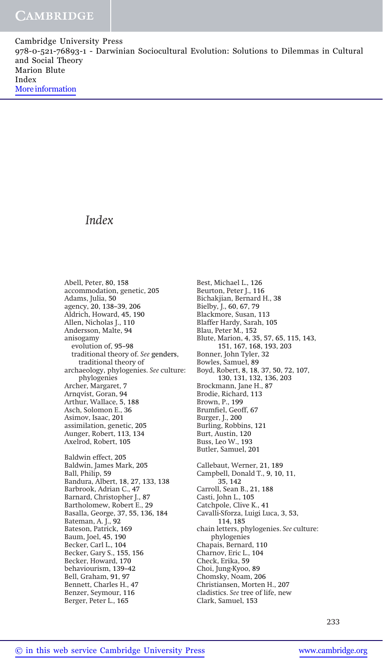## Index

Abell, Peter, 80, 158 accommodation, genetic, 205 Adams, Julia, 50 agency, 20, 138-39, 206 Aldrich, Howard, 45, 190 Allen, Nicholas J., 110 Andersson, Malte, 94 anisogamy evolution of, 95-98 traditional theory of. See genders, traditional theory of archaeology, phylogenies. See culture: phylogenies Archer, Margaret, 7 Arnqvist, Goran, 94 Arthur, Wallace, 5, 188 Asch, Solomon E., 36 Asimov, Isaac, 201 assimilation, genetic, 205 Aunger, Robert, 113, 134 Axelrod, Robert, 105 Baldwin effect, 205 Baldwin, James Mark, 205 Ball, Philip, 59 Bandura, Albert, 18, 27, 133, 138 Barbrook, Adrian C., 47 Barnard, Christopher J., 87 Bartholomew, Robert E., 29 Basalla, George, 37, 55, 136, 184 Bateman, A. J., 92 Bateson, Patrick, 169 Baum, Joel, 45, 190 Becker, Carl L., 104 Becker, Gary S., 155, 156 Becker, Howard, 170 behaviourism, 139-42 Bell, Graham, 91, 97 Bennett, Charles H., 47 Benzer, Seymour, 116 Berger, Peter L., 165

Best, Michael L., 126 Beurton, Peter J., 116 Bichakjian, Bernard H., 38 Bielby, J., 60, 67, 79 Blackmore, Susan, 113 Blaffer Hardy, Sarah, 105 Blau, Peter M., 152 Blute, Marion, 4, 35, 57, 65, 115, 143, 151, 167, 168, 193, 203 Bonner, John Tyler, 32 Bowles, Samuel, 89 Boyd, Robert, 8, 18, 37, 50, 72, 107, 130, 131, 132, 136, 203 Brockmann, Jane H., 87 Brodie, Richard, 113 Brown, P., 199 Brumfiel, Geoff, 67 Burger, J., 200 Burling, Robbins, 121 Burt, Austin, 120 Buss, Leo W., 193 Butler, Samuel, 201 Callebaut, Werner, 21, 189 Campbell, Donald T., 9, 10, 11, 35, 142 Carroll, Sean B., 21, 188 Casti, John L., 105 Catchpole, Clive K., 41 Cavalli-Sforza, Luigi Luca, 3, 53, 114, 185 chain letters, phylogenies. See culture: phylogenies Chapais, Bernard, 110 Charnov, Eric L., 104 Check, Erika, 59 Choi, Jung-Kyoo, 89 Chomsky, Noam, 206 Christiansen, Morten H., 207 cladistics. See tree of life, new Clark, Samuel, 153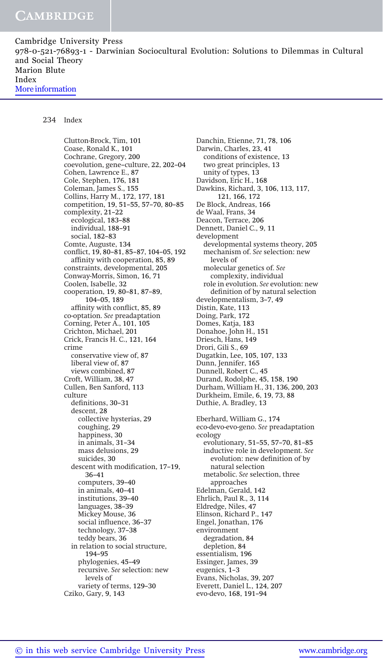## 234 Index

Clutton-Brock, Tim, 101 Coase, Ronald K., 101 Cochrane, Gregory, 200 coevolution, gene-culture, 22, 202-04 Cohen, Lawrence E., 87 Cole, Stephen, 176, 181 Coleman, James S., 155 Collins, Harry M., 172, 177, 181 competition, 19, 51-55, 57-70, 80-85 complexity, 21-22 ecological, 183-88 individual, 188-91 social, 182-83 Comte, Auguste, 134 conflict, 19, 80-81, 85-87, 104-05, 192 affinity with cooperation, 85, 89 constraints, developmental, 205 Conway-Morris, Simon, 16, 71 Coolen, Isabelle, 32 cooperation, 19, 80-81, 87-89, 104-05, 189 affinity with conflict, 85, 89 co-optation. See preadaptation Corning, Peter A., 101, 105 Crichton, Michael, 201 Crick, Francis H. C., 121, 164 crime conservative view of, 87 liberal view of, 87 views combined, 87 Croft, William, 38, 47 Cullen, Ben Sanford, 113 culture definitions, 30-31 descent, 28 collective hysterias, 29 coughing, 29 happiness, 30 in animals, 31-34 mass delusions, 29 suicides, 30 descent with modification, 17-19, 36-41 computers, 39-40 in animals, 40-41 institutions, 39-40 languages, 38-39 Mickey Mouse, 36 social influence, 36-37 technology, 37-38 teddy bears, 36 in relation to social structure, 194-95 phylogenies, 45-49 recursive. See selection: new levels of variety of terms, 129-30 Cziko, Gary, 9, 143

Danchin, Etienne, 71, 78, 106 Darwin, Charles, 23, 41 conditions of existence, 13 two great principles, 13 unity of types, 13 Davidson, Eric H., 168 Dawkins, Richard, 3, 106, 113, 117, 121, 166, 172 De Block, Andreas, 166 de Waal, Frans, 34 Deacon, Terrace, 206 Dennett, Daniel C., 9, 11 development developmental systems theory, 205 mechanism of. See selection: new levels of molecular genetics of. See complexity, individual role in evolution. See evolution: new definition of by natural selection developmentalism, 3-7, 49 Distin, Kate, 113 Doing, Park, 172 Domes, Katja, 183 Donahoe, John H., 151 Driesch, Hans, 149 Drori, Gili S., 69 Dugatkin, Lee, 105, 107, 133 Dunn, Jennifer, 165 Dunnell, Robert C., 45 Durand, Rodolphe, 45, 158, 190 Durham, William H., 31, 136, 200, 203 Durkheim, Emile, 6, 19, 73, 88 Duthie, A. Bradley, 13 Eberhard, William G., 174 eco-devo-evo-geno. See preadaptation ecology evolutionary, 51-55, 57-70, 81-85 inductive role in development. See evolution: new definition of by natural selection metabolic. See selection, three approaches Edelman, Gerald, 142 Ehrlich, Paul R., 3, 114 Eldredge, Niles, 47 Elinson, Richard P., 147 Engel, Jonathan, 176 environment degradation, 84 depletion, 84 essentialism, 196 Essinger, James, 39 eugenics, 1-3 Evans, Nicholas, 39, 207 Everett, Daniel L., 124, 207 evo-devo, 168, 191-94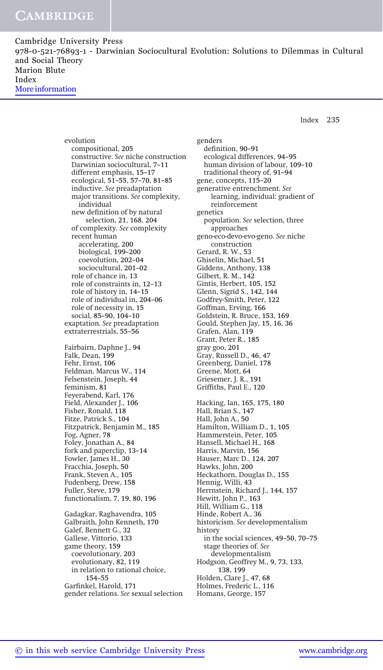Index 235

evolution compositional, 205 constructive. See niche construction Darwinian sociocultural, 7-11 different emphasis, 15-17 ecological, 51-55, 57-70, 81-85 inductive. See preadaptation major transitions. See complexity, individual new definition of by natural selection, 21, 168, 204 of complexity. See complexity recent human accelerating, 200 biological, 199-200 coevolution, 202-04 sociocultural, 201-02 role of chance in, 13 role of constraints in, 12-13 role of history in, 14-15 role of individual in, 204-06 role of necessity in, 15 social, 85-90, 104-10 exaptation. See preadaptation extraterrestrials, 55-56 Fairbairn, Daphne J., 94 Falk, Dean, 199 Fehr, Ernst, 106 Feldman, Marcus W., 114 Felsenstein, Joseph, 44 feminism, 81 Feyerabend, Karl, 176 Field, Alexander J., 106 Fisher, Ronald, 118 Fitze, Patrick S., 104 Fitzpatrick, Benjamin M., 185 Fog, Agner, 78 Foley, Jonathan A., 84 fork and paperclip, 13-14 Fowler, James H., 30 Fracchia, Joseph, 50 Frank, Steven A., 105 Fudenberg, Drew, 158 Fuller, Steve, 179 functionalism, 7, 19, 80, 196 Gadagkar, Raghavendra, 105 Galbraith, John Kenneth, 170 Galef, Bennett G., 32 Gallese, Vittorio, 133 game theory, 159 coevolutionary, 203 evolutionary, 82, 119 in relation to rational choice, 154-55 Garfinkel, Harold, 171 gender relations. See sexual selection

genders definition, 90-91 ecological differences, 94-95 human division of labour, 109-10 traditional theory of, 91-94 gene, concepts, 115-20 generative entrenchment. See learning, individual: gradient of reinforcement genetics population. See selection, three approaches geno-eco-devo-evo-geno. See niche construction Gerard, R. W., 53 Ghiselin, Michael, 51 Giddens, Anthony, 138 Gilbert, R. M., 142 Gintis, Herbert, 105, 152 Glenn, Sigrid S., 142, 144 Godfrey-Smith, Peter, 122 Goffman, Erving, 166 Goldstein, R. Bruce, 153, 169 Gould, Stephen Jay, 15, 16, 36 Grafen, Alan, 119 Grant, Peter R., 185 gray goo, 201 Gray, Russell D., 46, 47 Greenberg, Daniel, 178 Greene, Mott, 64 Griesemer, J. R., 191 Griffiths, Paul E., 120 Hacking, Ian, 165, 175, 180 Hall, Brian S., 147 Hall, John A., 50 Hamilton, William D., 1, 105 Hammerstein, Peter, 105 Hansell, Michael H., 168 Harris, Marvin, 156 Hauser, Marc D., 124, 207 Hawks, John, 200 Heckathorn, Douglas D., 155 Hennig, Willi, 43 Herrnstein, Richard J., 144, 157 Hewitt, John P., 163 Hill, William G., 118 Hinde, Robert A., 36 historicism. See developmentalism history in the social sciences, 49-50, 70-75 stage theories of. See developmentalism Hodgson, Geoffrey M., 9, 73, 133, 138, 199 Holden, Clare J., 47, 68 Holmes, Frederic L., 116 Homans, George, 157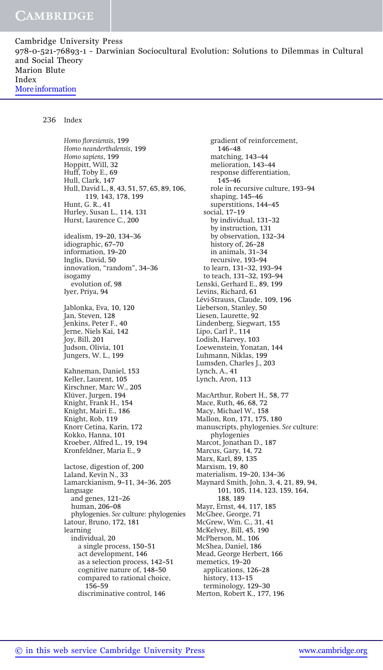236 Index

Homo floresiensis, 199 Homo neanderthalensis, 199 Homo sapiens, 199 Hoppitt, Will, 32 Huff, Toby E., 69 Hull, Clark, 147 Hull, David L., 8, 43, 51, 57, 65, 89, 106, 119, 143, 178, 199 Hunt, G. R., 41 Hurley, Susan L., 114, 131 Hurst, Laurence C., 200 idealism, 19-20, 134-36 idiographic, 67-70 information, 19-20 Inglis, David, 50 innovation, "random", 34-36 isogamy evolution of, 98 Iyer, Priya, 94 Jablonka, Eva, 10, 120 Jan, Steven, 128 Jenkins, Peter F., 40 Jerne, Niels Kai, 142 Joy, Bill, 201 Judson, Olivia, 101 Jungers, W. L., 199 Kahneman, Daniel, 153 Keller, Laurent, 105 Kirschner, Marc W., 205 Klüver, Jurgen, 194 Knight, Frank H., 154 Knight, Mairi E., 186 Knight, Rob, 119 Knorr Cetina, Karin, 172 Kokko, Hanna, 101 Kroeber, Alfred L., 19, 194 Kronfeldner, Maria E., 9 lactose, digestion of, 200 Laland, Kevin N., 33 Lamarckianism, 9-11, 34-36, 205 language and genes,  $121-26$ human, 206-08 phylogenies. See culture: phylogenies Latour, Bruno, 172, 181 learning individual, 20 a single process, 150-51 act development, 146 as a selection process, 142-51 cognitive nature of, 148-50 compared to rational choice, 156-59 discriminative control, 146

gradient of reinforcement, 146-48 matching, 143-44 melioration, 143-44 response differentiation, 145-46 role in recursive culture, 193-94 shaping, 145-46 superstitions, 144-45 social, 17-19 by individual, 131-32 by instruction, 131 by observation, 132-34 history of, 26-28 in animals, 31-34 recursive, 193-94 to learn, 131-32, 193-94 to teach, 131-32, 193-94 Lenski, Gerhard E., 89, 199 Levins, Richard, 61 Lévi-Strauss, Claude, 109, 196 Lieberson, Stanley, 50 Liesen, Laurette, 92 Lindenberg, Siegwart, 155 Lipo, Carl P., 114 Lodish, Harvey, 103 Loewenstein, Yonatan, 144 Luhmann, Niklas, 199 Lumsden, Charles J., 203 Lynch, A., 41 Lynch, Aron, 113 MacArthur, Robert H., 58, 77 Mace, Ruth, 46, 68, 72 Macy, Michael W., 158 Mallon, Ron, 171, 175, 180 manuscripts, phylogenies. See culture: phylogenies Marcot, Jonathan D., 187 Marcus, Gary, 14, 72 Marx, Karl, 89, 135 Marxism, 19, 80 materialism, 19-20, 134-36 Maynard Smith, John, 3, 4, 21, 89, 94, 101, 105, 114, 123, 159, 164, 188, 189 Mayr, Ernst, 44, 117, 185 McGhee, George, 71 McGrew, Wm. C., 31, 41 McKelvey, Bill, 45, 190 McPherson, M., 106 McShea, Daniel, 186 Mead, George Herbert, 166 memetics, 19-20 applications, 126-28 history, 113-15 terminology, 129-30 Merton, Robert K., 177, 196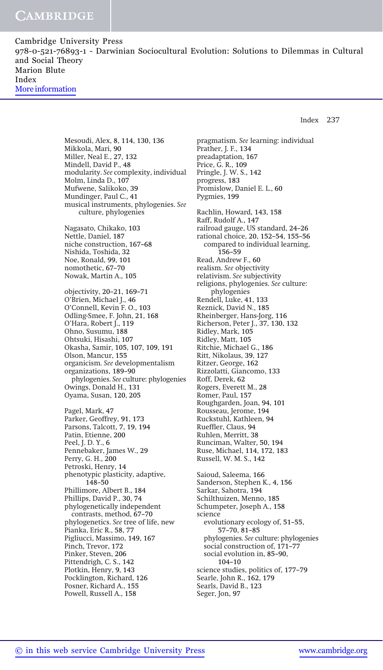Index 237

Mesoudi, Alex, 8, 114, 130, 136 Mikkola, Mari, 90 Miller, Neal E., 27, 132 Mindell, David P., 48 modularity. See complexity, individual Molm, Linda D., 107 Mufwene, Salikoko, 39 Mundinger, Paul C., 41 musical instruments, phylogenies. See culture, phylogenies Nagasato, Chikako, 103 Nettle, Daniel, 187 niche construction, 167-68 Nishida, Toshida, 32 Noe, Ronald, 99, 101 nomothetic, 67-70 Nowak, Martin A., 105 objectivity, 20-21, 169-71 O'Brien, Michael J., 46 O-Connell, Kevin F. O., 103 Odling-Smee, F. John, 21, 168 O-Hara, Robert J., 119 Ohno, Susumu, 188 Ohtsuki, Hisashi, 107 Okasha, Samir, 105, 107, 109, 191 Olson, Mancur, 155 organicism. See developmentalism organizations, 189-90 phylogenies. See culture: phylogenies Owings, Donald H., 131 Oyama, Susan, 120, 205 Pagel, Mark, 47 Parker, Geoffrey, 91, 173 Parsons, Talcott, 7, 19, 194 Patin, Etienne, 200 Peel, J. D. Y., 6 Pennebaker, James W., 29 Perry, G. H., 200 Petroski, Henry, 14 phenotypic plasticity, adaptive, 148-50 Phillimore, Albert B., 184 Phillips, David P., 30, 74 phylogenetically independent contrasts, method, 67-70 phylogenetics. See tree of life, new Pianka, Eric R., 58, 77 Pigliucci, Massimo, 149, 167 Pinch, Trevor, 172 Pinker, Steven, 206 Pittendrigh, C. S., 142 Plotkin, Henry, 9, 143 Pocklington, Richard, 126 Posner, Richard A., 155 Powell, Russell A., 158

pragmatism. See learning: individual Prather, J. F., 134 preadaptation, 167 Price, G. R., 109 Pringle, J. W. S., 142 progress, 183 Promislow, Daniel E. L., 60 Pygmies, 199 Rachlin, Howard, 143, 158 Raff, Rudolf A., 147 railroad gauge, US standard, 24-26 rational choice, 20, 152-54, 155-56 compared to individual learning, 156-59 Read, Andrew F., 60 realism. See objectivity relativism. See subjectivity religions, phylogenies. See culture: phylogenies Rendell, Luke, 41, 133 Reznick, David N., 185 Rheinberger, Hans-Jorg, 116 Richerson, Peter J., 37, 130, 132 Ridley, Mark, 105 Ridley, Matt, 105 Ritchie, Michael G., 186 Ritt, Nikolaus, 39, 127 Ritzer, George, 162 Rizzolatti, Giancomo, 133 Roff, Derek, 62 Rogers, Everett M., 28 Romer, Paul, 157 Roughgarden, Joan, 94, 101 Rousseau, Jerome, 194 Ruckstuhl, Kathleen, 94 Rueffler, Claus, 94 Ruhlen, Merritt, 38 Runciman, Walter, 50, 194 Ruse, Michael, 114, 172, 183 Russell, W. M. S., 142 Saioud, Saleema, 166 Sanderson, Stephen K., 4, 156 Sarkar, Sahotra, 194 Schilthuizen, Menno, 185 Schumpeter, Joseph A., 158 science evolutionary ecology of, 51-55, 57-70, 81-85 phylogenies. See culture: phylogenies social construction of, 171-77 social evolution in, 85-90, 104-10 science studies, politics of, 177-79 Searle, John R., 162, 179 Searls, David B., 123 Seger, Jon, 97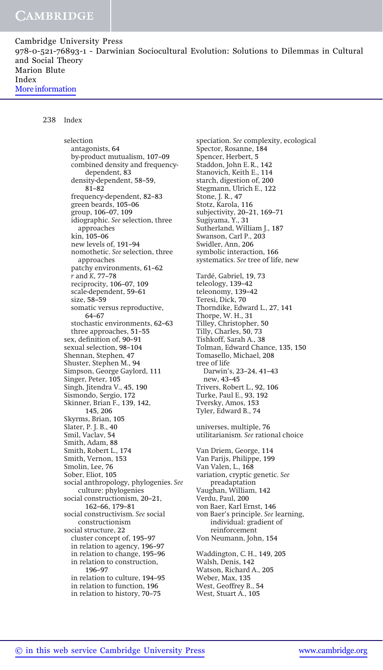| Cambridge University Press                                                               |  |
|------------------------------------------------------------------------------------------|--|
| 978-0-521-76893-1 - Darwinian Sociocultural Evolution: Solutions to Dilemmas in Cultural |  |
| and Social Theory                                                                        |  |
| Marion Blute                                                                             |  |
| Index                                                                                    |  |
| More information                                                                         |  |

## 238 Index

selection antagonists, 64 by-product mutualism, 107-09 combined density and frequencydependent, 83 density-dependent, 58-59,  $81 - 82$ frequency-dependent, 82-83 green beards, 105-06 group, 106-07, 109 idiographic. See selection, three approaches kin, 105-06 new levels of, 191-94 nomothetic. See selection, three approaches patchy environments, 61-62  $r$  and K, 77-78 reciprocity, 106-07, 109 scale-dependent, 59-61 size, 58-59 somatic versus reproductive, 64-67 stochastic environments, 62-63 three approaches, 51-55 sex, definition of, 90-91 sexual selection, 98-104 Shennan, Stephen, 47 Shuster, Stephen M., 94 Simpson, George Gaylord, 111 Singer, Peter, 105 Singh, Jitendra V., 45, 190 Sismondo, Sergio, 172 Skinner, Brian F., 139, 142, 145, 206 Skyrms, Brian, 105 Slater, P. J. B., 40 Smil, Vaclav, 54 Smith, Adam, 88 Smith, Robert L., 174 Smith, Vernon, 153 Smolin, Lee, 76 Sober, Eliot, 105 social anthropology, phylogenies. See culture: phylogenies social constructionism, 20-21, 162-66, 179-81 social constructivism. See social constructionism social structure, 22 cluster concept of, 195-97 in relation to agency, 196-97 in relation to change, 195-96 in relation to construction, 196-97 in relation to culture, 194-95 in relation to function, 196 in relation to history, 70-75

speciation. See complexity, ecological Spector, Rosanne, 184 Spencer, Herbert, 5 Staddon, John E. R., 142 Stanovich, Keith E., 114 starch, digestion of, 200 Stegmann, Ulrich E., 122 Stone, J. R., 47 Stotz, Karola, 116 subjectivity, 20-21, 169-71 Sugiyama, Y., 31 Sutherland, William J., 187 Swanson, Carl P., 203 Swidler, Ann, 206 symbolic interaction, 166 systematics. See tree of life, new Tardé, Gabriel, 19, 73 teleology, 139-42 teleonomy, 139-42 Teresi, Dick, 70 Thorndike, Edward L., 27, 141 Thorpe, W. H., 31 Tilley, Christopher, 50 Tilly, Charles, 50, 73 Tishkoff, Sarah A., 38 Tolman, Edward Chance, 135, 150 Tomasello, Michael, 208 tree of life Darwin's, 23–24, 41–43 new, 43-45 Trivers, Robert L., 92, 106 Turke, Paul E., 93, 192 Tversky, Amos, 153 Tyler, Edward B., 74 universes, multiple, 76 utilitarianism. See rational choice Van Driem, George, 114 Van Parijs, Philippe, 199 Van Valen, L., 168 variation, cryptic genetic. See preadaptation Vaughan, William, 142 Verdu, Paul, 200 von Baer, Karl Ernst, 146 von Baer's principle. See learning, individual: gradient of reinforcement Von Neumann, John, 154 Waddington, C. H., 149, 205 Walsh, Denis, 142 Watson, Richard A., 205 Weber, Max, 135 West, Geoffrey B., 54

West, Stuart A., 105